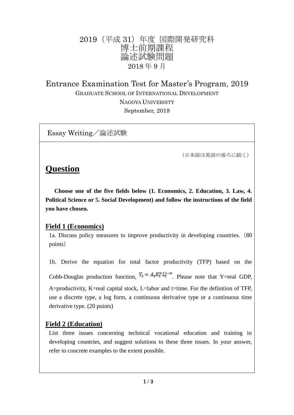## 2019(平成 31)年度 国際開発研究科 博士前期課程 論述試験問題 2018 年 9 月

Entrance Examination Test for Master's Program, 2019 GRADUATE SCHOOL OF INTERNATIONAL DEVELOPMENT NAGOYA UNIVERSITY September, 2018

Essay Writing/論述試験

(日本語は英語の後ろに続く)

# **Question**

 **Choose one of the five fields below (1. Economics, 2. Education, 3. Law, 4. Political Science or 5. Social Development) and follow the instructions of the field you have chosen.**

### **Field 1 (Economics)**

1a. Discuss policy measures to improve productivity in developing countries.(80 points)

1b. Derive the equation for total factor productivity (TFP) based on the Cobb-Douglas production function,  $Y_t = A_t K_t^{\alpha} L_t^{1-\alpha}$ . Please note that Y=real GDP, A=productivity, K=real capital stock, L=labor and t=time. For the definition of TFP, use a discrete type, a log form, a continuous derivative type or a continuous time derivative type. (20 points)

## **Field 2 (Education)**

List three issues concerning technical vocational education and training in developing countries, and suggest solutions to these three issues. In your answer, refer to concrete examples to the extent possible.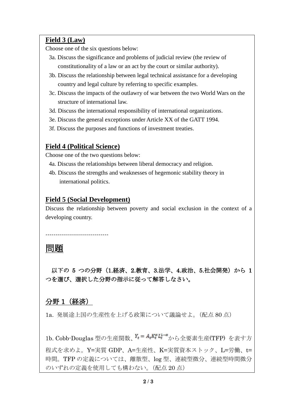#### **Field 3 (Law)**

Choose one of the six questions below:

- 3a. Discuss the significance and problems of judicial review (the review of constitutionality of a law or an act by the court or similar authority).
- 3b. Discuss the relationship between legal technical assistance for a developing country and legal culture by referring to specific examples.
- 3c. Discuss the impacts of the outlawry of war between the two World Wars on the structure of international law.
- 3d. Discuss the international responsibility of international organizations.
- 3e. Discuss the general exceptions under Article XX of the GATT 1994.
- 3f. Discuss the purposes and functions of investment treaties.

#### **Field 4 (Political Science)**

Choose one of the two questions below:

- 4a. Discuss the relationships between liberal democracy and religion.
- 4b. Discuss the strengths and weaknesses of hegemonic stability theory in international politics.

#### **Field 5 (Social Development)**

--------------------------------

Discuss the relationship between poverty and social exclusion in the context of a developing country.

## 問題

以下の 5 つの分野 (1.経済、2.教育、3.法学、4.政治、5.社会開発)から 1 つを選び、選択した分野の指示に従って解答しなさい。

#### 分野 1(経済)

1a. 発展途上国の生産性を上げる政策について議論せよ。(配点 80 点)

1b. Cobb-Douglas 型の生産関数、Y<sub>t</sub> = A<sub>t</sub>K<sub>t</sub><sup>a</sup>L<sub>t</sub><sup>a</sup>から全要素生産(TFP) を表す方 程式を求めよ。Y=実質 GDP、A=生産性、K=実質資本ストック、L=労働、t= 時間。TFP の定義については、離散型、log 型、連続型微分、連続型時間微分 のいずれの定義を使用しても構わない。(配点 20 点)